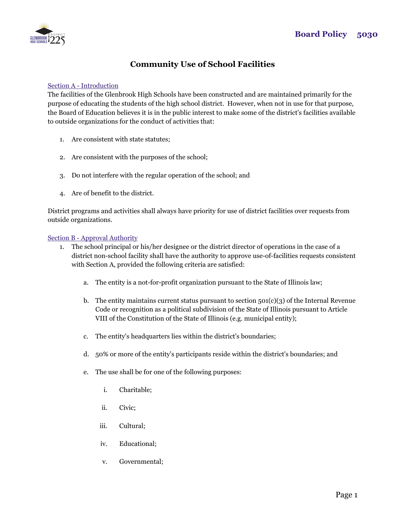

# **Community Use of School Facilities**

#### Section A - Introduction

The facilities of the Glenbrook High Schools have been constructed and are maintained primarily for the purpose of educating the students of the high school district. However, when not in use for that purpose, the Board of Education believes it is in the public interest to make some of the district's facilities available to outside organizations for the conduct of activities that:

- 1. Are consistent with state statutes;
- 2. Are consistent with the purposes of the school;
- 3. Do not interfere with the regular operation of the school; and
- 4. Are of benefit to the district.

District programs and activities shall always have priority for use of district facilities over requests from outside organizations.

#### Section B - Approval Authority

- 1. The school principal or his/her designee or the district director of operations in the case of a district non-school facility shall have the authority to approve use-of-facilities requests consistent with Section A, provided the following criteria are satisfied:
	- a. The entity is a not-for-profit organization pursuant to the State of Illinois law;
	- b. The entity maintains current status pursuant to section  $501(c)(3)$  of the Internal Revenue Code or recognition as a political subdivision of the State of Illinois pursuant to Article VIII of the Constitution of the State of Illinois (e.g. municipal entity);
	- c. The entity's headquarters lies within the district's boundaries;
	- d. 50% or more of the entity's participants reside within the district's boundaries; and
	- e. The use shall be for one of the following purposes:
		- i. Charitable;
		- ii. Civic;
		- iii. Cultural;
		- iv. Educational;
		- v. Governmental;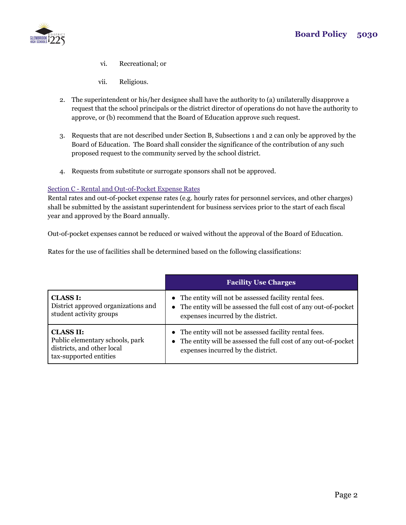

- vi. Recreational; or
- vii. Religious.
- 2. The superintendent or his/her designee shall have the authority to (a) unilaterally disapprove a request that the school principals or the district director of operations do not have the authority to approve, or (b) recommend that the Board of Education approve such request.
- 3. Requests that are not described under Section B, Subsections 1 and 2 can only be approved by the Board of Education. The Board shall consider the significance of the contribution of any such proposed request to the community served by the school district.
- 4. Requests from substitute or surrogate sponsors shall not be approved.

### Section C - Rental and Out-of-Pocket Expense Rates

Rental rates and out-of-pocket expense rates (e.g. hourly rates for personnel services, and other charges) shall be submitted by the assistant superintendent for business services prior to the start of each fiscal year and approved by the Board annually.

Out-of-pocket expenses cannot be reduced or waived without the approval of the Board of Education.

Rates for the use of facilities shall be determined based on the following classifications:

|                                     | <b>Facility Use Charges</b>                                      |
|-------------------------------------|------------------------------------------------------------------|
| <b>CLASS I:</b>                     | • The entity will not be assessed facility rental fees.          |
| District approved organizations and | • The entity will be assessed the full cost of any out-of-pocket |
| student activity groups             | expenses incurred by the district.                               |
| <b>CLASS II:</b>                    | • The entity will not be assessed facility rental fees.          |
| Public elementary schools, park     | The entity will be assessed the full cost of any out-of-pocket   |
| districts, and other local          | $\bullet$                                                        |
| tax-supported entities              | expenses incurred by the district.                               |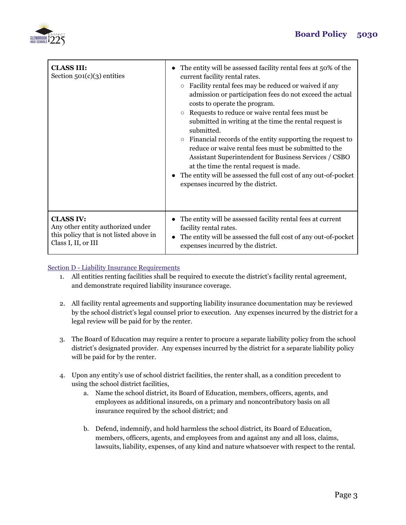

| <b>CLASS III:</b><br>Section $501(c)(3)$ entities | The entity will be assessed facility rental fees at 50% of the<br>current facility rental rates.<br>Facility rental fees may be reduced or waived if any<br>$\circ$<br>admission or participation fees do not exceed the actual<br>costs to operate the program.<br>Requests to reduce or waive rental fees must be.<br>submitted in writing at the time the rental request is<br>submitted.<br>Financial records of the entity supporting the request to<br>$\circ$<br>reduce or waive rental fees must be submitted to the<br>Assistant Superintendent for Business Services / CSBO<br>at the time the rental request is made.<br>The entity will be assessed the full cost of any out-of-pocket<br>expenses incurred by the district. |
|---------------------------------------------------|------------------------------------------------------------------------------------------------------------------------------------------------------------------------------------------------------------------------------------------------------------------------------------------------------------------------------------------------------------------------------------------------------------------------------------------------------------------------------------------------------------------------------------------------------------------------------------------------------------------------------------------------------------------------------------------------------------------------------------------|
| <b>CLASS IV:</b>                                  | • The entity will be assessed facility rental fees at current                                                                                                                                                                                                                                                                                                                                                                                                                                                                                                                                                                                                                                                                            |
| Any other entity authorized under                 | facility rental rates.                                                                                                                                                                                                                                                                                                                                                                                                                                                                                                                                                                                                                                                                                                                   |
| this policy that is not listed above in           | The entity will be assessed the full cost of any out-of-pocket                                                                                                                                                                                                                                                                                                                                                                                                                                                                                                                                                                                                                                                                           |
| Class I, II, or III                               | expenses incurred by the district.                                                                                                                                                                                                                                                                                                                                                                                                                                                                                                                                                                                                                                                                                                       |

### Section D - Liability Insurance Requirements

- 1. All entities renting facilities shall be required to execute the district's facility rental agreement, and demonstrate required liability insurance coverage.
- 2. All facility rental agreements and supporting liability insurance documentation may be reviewed by the school district's legal counsel prior to execution. Any expenses incurred by the district for a legal review will be paid for by the renter.
- 3. The Board of Education may require a renter to procure a separate liability policy from the school district's designated provider. Any expenses incurred by the district for a separate liability policy will be paid for by the renter.
- 4. Upon any entity's use of school district facilities, the renter shall, as a condition precedent to using the school district facilities,
	- a. Name the school district, its Board of Education, members, officers, agents, and employees as additional insureds, on a primary and noncontributory basis on all insurance required by the school district; and
	- b. Defend, indemnify, and hold harmless the school district, its Board of Education, members, officers, agents, and employees from and against any and all loss, claims, lawsuits, liability, expenses, of any kind and nature whatsoever with respect to the rental.